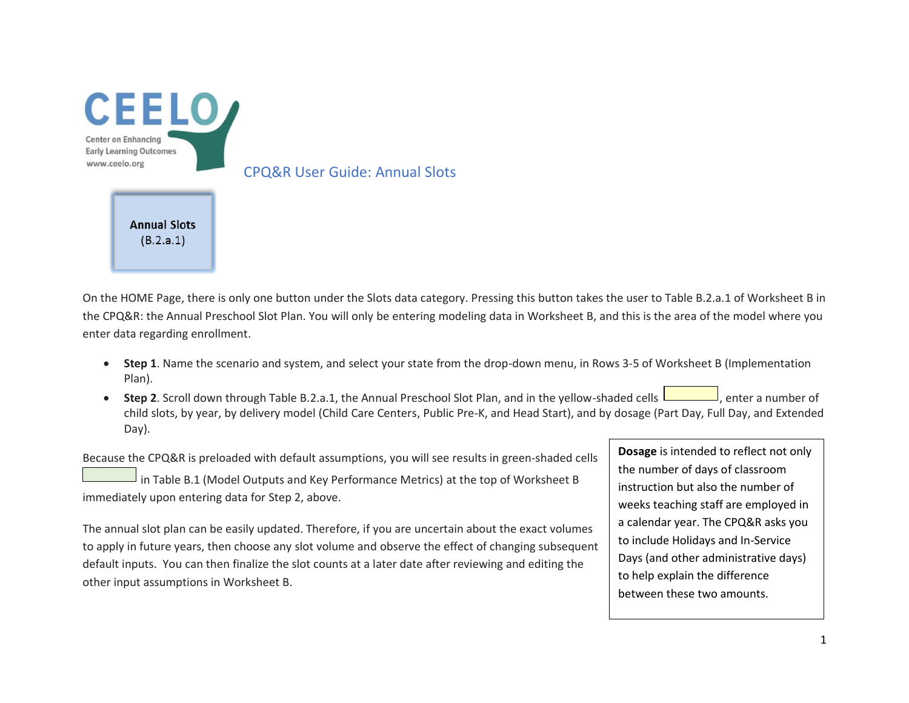

On the HOME Page, there is only one button under the Slots data category. Pressing this button takes the user to Table B.2.a.1 of Worksheet B in the CPQ&R: the Annual Preschool Slot Plan. You will only be entering modeling data in Worksheet B, and this is the area of the model where you enter data regarding enrollment.

- **Step 1**. Name the scenario and system, and select your state from the drop-down menu, in Rows 3-5 of Worksheet B (Implementation Plan).
- Step 2. Scroll down through Table B.2.a.1, the Annual Preschool Slot Plan, and in the yellow-shaded cells  $\Box$ , enter a number of child slots, by year, by delivery model (Child Care Centers, Public Pre-K, and Head Start), and by dosage (Part Day, Full Day, and Extended Day).

Because the CPQ&R is preloaded with default assumptions, you will see results in green-shaded cells in Table B.1 (Model Outputs and Key Performance Metrics) at the top of Worksheet B immediately upon entering data for Step 2, above.

The annual slot plan can be easily updated. Therefore, if you are uncertain about the exact volumes to apply in future years, then choose any slot volume and observe the effect of changing subsequent default inputs. You can then finalize the slot counts at a later date after reviewing and editing the other input assumptions in Worksheet B.

**Dosage** is intended to reflect not only the number of days of classroom instruction but also the number of weeks teaching staff are employed in a calendar year. The CPQ&R asks you to include Holidays and In-Service Days (and other administrative days) to help explain the difference between these two amounts.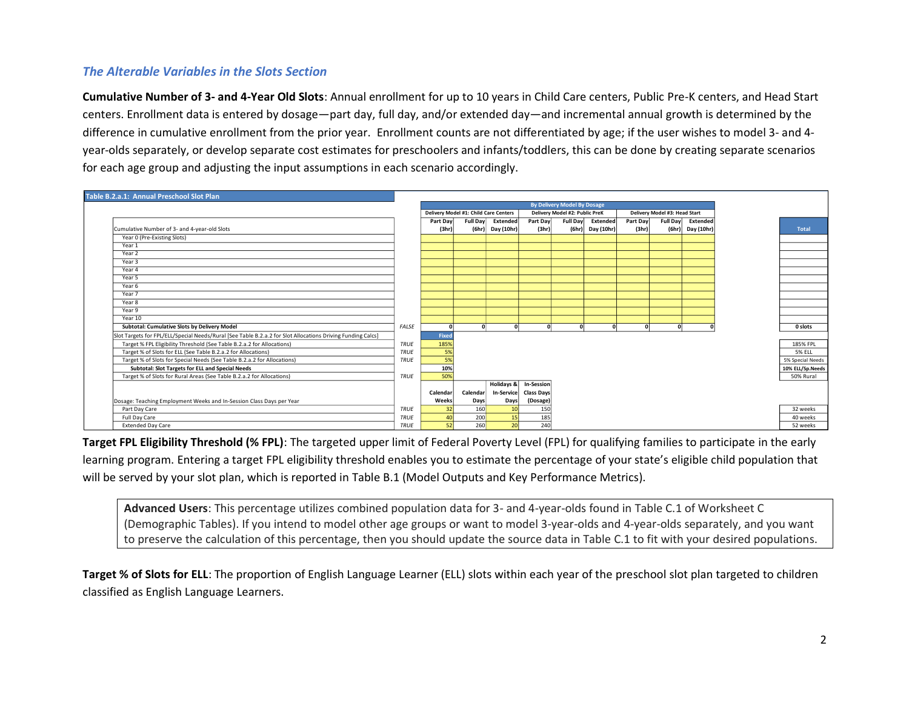## *The Alterable Variables in the Slots Section*

**Cumulative Number of 3- and 4-Year Old Slots**: Annual enrollment for up to 10 years in Child Care centers, Public Pre-K centers, and Head Start centers. Enrollment data is entered by dosage—part day, full day, and/or extended day—and incremental annual growth is determined by the difference in cumulative enrollment from the prior year. Enrollment counts are not differentiated by age; if the user wishes to model 3- and 4 year-olds separately, or develop separate cost estimates for preschoolers and infants/toddlers, this can be done by creating separate scenarios for each age group and adjusting the input assumptions in each scenario accordingly.



**Target FPL Eligibility Threshold (% FPL)**: The targeted upper limit of Federal Poverty Level (FPL) for qualifying families to participate in the early learning program. Entering a target FPL eligibility threshold enables you to estimate the percentage of your state's eligible child population that will be served by your slot plan, which is reported in Table B.1 (Model Outputs and Key Performance Metrics).

**Advanced Users**: This percentage utilizes combined population data for 3- and 4-year-olds found in Table C.1 of Worksheet C (Demographic Tables). If you intend to model other age groups or want to model 3-year-olds and 4-year-olds separately, and you want to preserve the calculation of this percentage, then you should update the source data in Table C.1 to fit with your desired populations.

**Target % of Slots for ELL**: The proportion of English Language Learner (ELL) slots within each year of the preschool slot plan targeted to children classified as English Language Learners.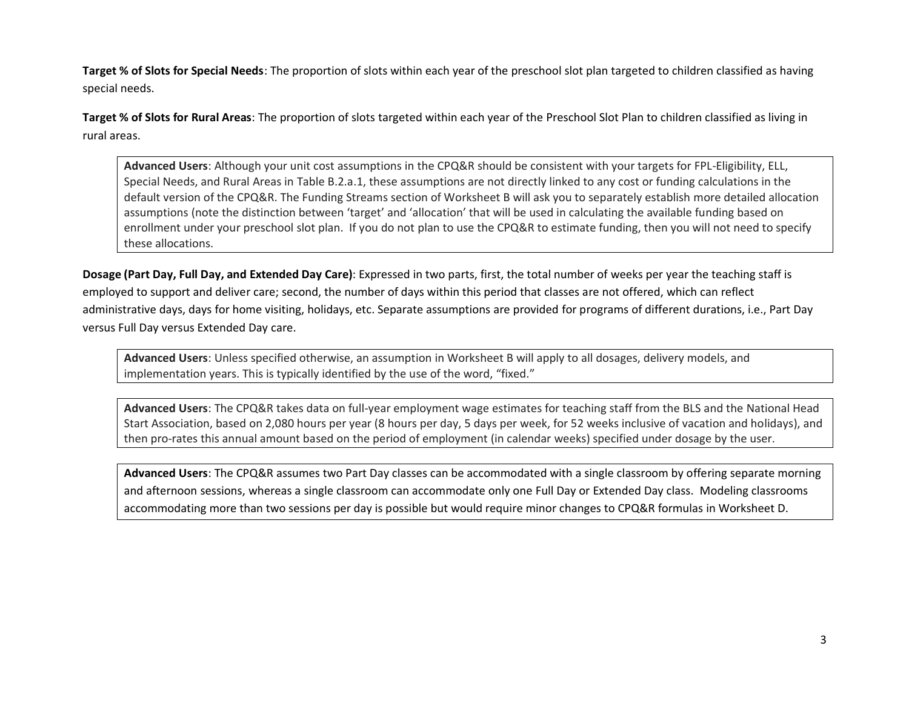**Target % of Slots for Special Needs**: The proportion of slots within each year of the preschool slot plan targeted to children classified as having special needs.

**Target % of Slots for Rural Areas**: The proportion of slots targeted within each year of the Preschool Slot Plan to children classified as living in rural areas.

**Advanced Users**: Although your unit cost assumptions in the CPQ&R should be consistent with your targets for FPL-Eligibility, ELL, Special Needs, and Rural Areas in Table B.2.a.1, these assumptions are not directly linked to any cost or funding calculations in the default version of the CPQ&R. The Funding Streams section of Worksheet B will ask you to separately establish more detailed allocation assumptions (note the distinction between 'target' and 'allocation' that will be used in calculating the available funding based on enrollment under your preschool slot plan. If you do not plan to use the CPQ&R to estimate funding, then you will not need to specify these allocations.

**Dosage (Part Day, Full Day, and Extended Day Care)**: Expressed in two parts, first, the total number of weeks per year the teaching staff is employed to support and deliver care; second, the number of days within this period that classes are not offered, which can reflect administrative days, days for home visiting, holidays, etc. Separate assumptions are provided for programs of different durations, i.e., Part Day versus Full Day versus Extended Day care.

**Advanced Users**: Unless specified otherwise, an assumption in Worksheet B will apply to all dosages, delivery models, and implementation years. This is typically identified by the use of the word, "fixed."

**Advanced Users**: The CPQ&R takes data on full-year employment wage estimates for teaching staff from the BLS and the National Head Start Association, based on 2,080 hours per year (8 hours per day, 5 days per week, for 52 weeks inclusive of vacation and holidays), and then pro-rates this annual amount based on the period of employment (in calendar weeks) specified under dosage by the user.

**Advanced Users**: The CPQ&R assumes two Part Day classes can be accommodated with a single classroom by offering separate morning and afternoon sessions, whereas a single classroom can accommodate only one Full Day or Extended Day class. Modeling classrooms accommodating more than two sessions per day is possible but would require minor changes to CPQ&R formulas in Worksheet D.